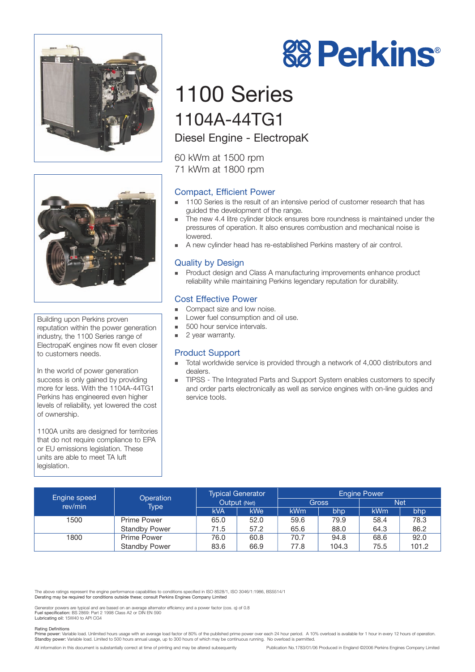



Building upon Perkins proven reputation within the power generation industry, the 1100 Series range of ElectropaK engines now fit even closer to customers needs.

In the world of power generation success is only gained by providing more for less. With the 1104A-44TG1 Perkins has engineered even higher levels of reliability, yet lowered the cost of ownership.

1100A units are designed for territories that do not require compliance to EPA or EU emissions legislation. These units are able to meet TA luft legislation.

# **88 Perkins®**

## 1100 Series 1104A-44TG1

Diesel Engine - ElectropaK

60 kWm at 1500 rpm 71 kWm at 1800 rpm

### Compact, Efficient Power

- - 1100 Series is the result of an intensive period of customer research that has guided the development of the range.
- - The new 4.4 litre cylinder block ensures bore roundness is maintained under the pressures of operation. It also ensures combustion and mechanical noise is lowered.
- **A** new cylinder head has re-established Perkins mastery of air control.

#### Quality by Design

- Product design and Class A manufacturing improvements enhance product reliability while maintaining Perkins legendary reputation for durability.

#### Cost Effective Power

- -Compact size and low noise.
- -Lower fuel consumption and oil use.
- -500 hour service intervals.
- -2 year warranty.

#### Product Support

- - Total worldwide service is provided through a network of 4,000 distributors and dealers.
- - TIPSS - The Integrated Parts and Support System enables customers to specify and order parts electronically as well as service engines with on-line guides and service tools.

| <b>Engine speed</b><br>rev/min | Operation<br>Type    | <b>Typical Generator</b><br>Output (Net) |                  | <b>Engine Power</b> |       |            |       |
|--------------------------------|----------------------|------------------------------------------|------------------|---------------------|-------|------------|-------|
|                                |                      |                                          |                  | Gross               |       | <b>Net</b> |       |
|                                |                      | <b>kVA</b>                               | kWe <sup>1</sup> | kWm                 | bhp   | <b>kWm</b> | bhp   |
| 1500                           | Prime Power          | 65.0                                     | 52.0             | 59.6                | 79.9  | 58.4       | 78.3  |
|                                | <b>Standby Power</b> | 71.5                                     | 57.2             | 65.6                | 88.0  | 64.3       | 86.2  |
| 1800                           | <b>Prime Power</b>   | 76.0                                     | 60.8             | 70.7                | 94.8  | 68.6       | 92.0  |
|                                | <b>Standby Power</b> | 83.6                                     | 66.9             | 77.8                | 104.3 | 75.5       | 101.2 |

The above ratings represent the engine performance capabilities to conditions specified in ISO 8528/1, ISO 3046/1:1986, BS5514/1 Derating may be required for conditions outside these; consult Perkins Engines Company Limited

Generator powers are typical and are based on an average alternator efficiency and a power factor (cos. q) of 0.8 Fuel specification: BS 2869: Part 2 1998 Class A2 or DIN EN 590 Lubricating oil: 15W40 to API CG4

Rating Definitions<br>Prime power: Variable load. Unlimited hours usage with an average load factor of 80% of the published prime power over each 24 hour period. A 10% overload is available for 1 hour in every 12 hours of ope Standby power: Variable load. Limited to 500 hours annual usage, up to 300 hours of which may be continuous running. No overload is permitted.

All information in this document is substantially correct at time of printing and may be altered subsequently Publication No.1783/01/06 Produced in England ©2006 Perkins Engines Company Limited